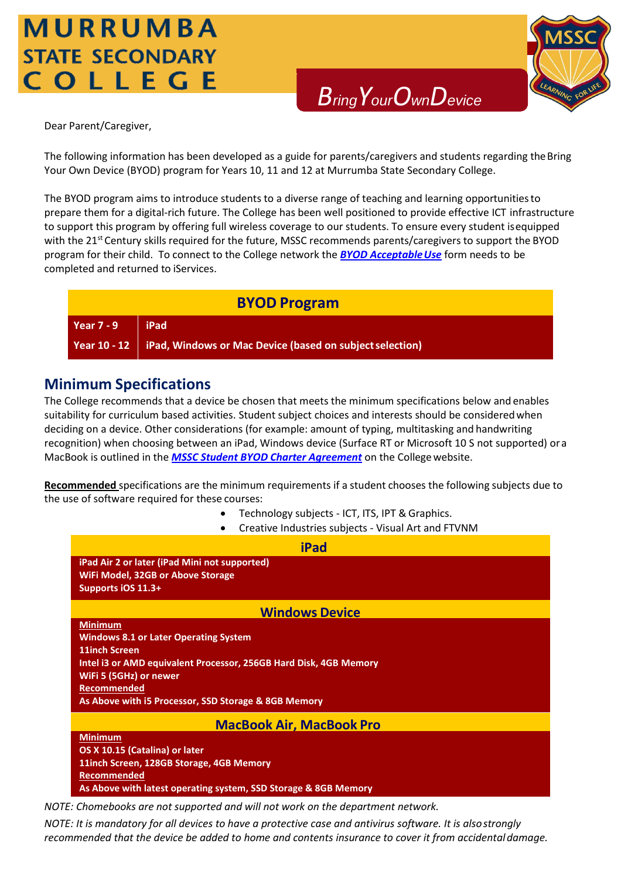## MURRUMBA **STATE SECONDARY** COLLEGE



*BringYourOwnDevice*

Dear Parent/Caregiver,

The following information has been developed as a guide for parents/caregivers and students regarding theBring Your Own Device (BYOD) program for Years 10, 11 and 12 at Murrumba State Secondary College.

The BYOD program aims to introduce students to a diverse range of teaching and learning opportunitiesto prepare them for a digital-rich future. The College has been well positioned to provide effective ICT infrastructure to support this program by offering full wireless coverage to our students. To ensure every student isequipped with the 21<sup>st</sup> Century skills required for the future, MSSC recommends parents/caregivers to support the BYOD program for their child. To connect to the College network the **BYOD Acceptable Use** form needs to be completed and returned to iServices.

### **BYOD Program**

### **Year 7 - 9 iPad**

Year 10 - 12 **iPad, Windows or Mac Device (based on subject selection)** 

### **Minimum Specifications**

The College recommends that a device be chosen that meets the minimum specifications below and enables suitability for curriculum based activities. Student subject choices and interests should be consideredwhen deciding on a device. Other considerations (for example: amount of typing, multitasking and handwriting recognition) when choosing between an iPad, Windows device (Surface RT or Microsoft 10 S not supported) ora MacBook is outlined in the *[MSSC Student BYOD Charter Agreement](https://murrumbassc.eq.edu.au/Supportandresources/Formsanddocuments/Documents/BYOD%20Forms%20and%20Documents/mssc_student_byod_charter.pdf)* on the Collegewebsite.

**Recommended** specifications are the minimum requirements if a student chooses the following subjects due to the use of software required for these courses:

- Technology subjects ICT, ITS, IPT & Graphics.
- Creative Industries subjects Visual Art and FTVNM

| <b>iPad</b>                                                                                                                                                                                                                                                         |
|---------------------------------------------------------------------------------------------------------------------------------------------------------------------------------------------------------------------------------------------------------------------|
| iPad Air 2 or later (iPad Mini not supported)<br><b>WiFi Model, 32GB or Above Storage</b><br>Supports iOS 11.3+                                                                                                                                                     |
| <b>Windows Device</b>                                                                                                                                                                                                                                               |
| <b>Minimum</b><br><b>Windows 8.1 or Later Operating System</b><br><b>11inch Screen</b><br>Intel i3 or AMD equivalent Processor, 256GB Hard Disk, 4GB Memory<br>WiFi 5 (5GHz) or newer<br><b>Recommended</b><br>As Above with i5 Processor, SSD Storage & 8GB Memory |
| <b>MacBook Air, MacBook Pro</b>                                                                                                                                                                                                                                     |
| <b>Minimum</b><br>OS X 10.15 (Catalina) or later<br>11inch Screen, 128GB Storage, 4GB Memory<br><b>Recommended</b><br>As Above with latest operating system, SSD Storage & 8GB Memory                                                                               |

*NOTE: Chomebooks are not supported and will not work on the department network.*

*NOTE: It is mandatory for all devices to have a protective case and antivirus software. It is alsostrongly recommended that the device be added to home and contents insurance to cover it from accidentaldamage.*